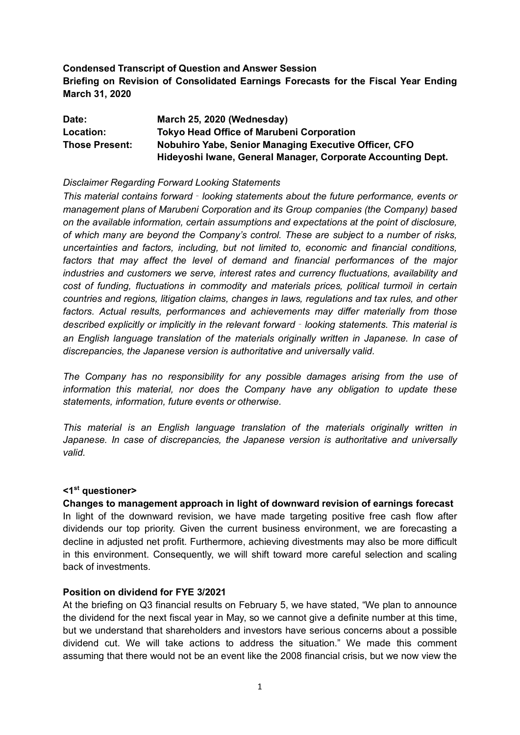**Condensed Transcript of Question and Answer Session Briefing on Revision of Consolidated Earnings Forecasts for the Fiscal Year Ending March 31, 2020** 

| Date:                 | March 25, 2020 (Wednesday)                                   |
|-----------------------|--------------------------------------------------------------|
| <b>Location:</b>      | <b>Tokyo Head Office of Marubeni Corporation</b>             |
| <b>Those Present:</b> | Nobuhiro Yabe, Senior Managing Executive Officer, CFO        |
|                       | Hideyoshi Iwane, General Manager, Corporate Accounting Dept. |

### *Disclaimer Regarding Forward Looking Statements*

*This material contains forward*‐*looking statements about the future performance, events or management plans of Marubeni Corporation and its Group companies (the Company) based on the available information, certain assumptions and expectations at the point of disclosure, of which many are beyond the Company's control. These are subject to a number of risks, uncertainties and factors, including, but not limited to, economic and financial conditions, factors that may affect the level of demand and financial performances of the major industries and customers we serve, interest rates and currency fluctuations, availability and cost of funding, fluctuations in commodity and materials prices, political turmoil in certain countries and regions, litigation claims, changes in laws, regulations and tax rules, and other factors. Actual results, performances and achievements may differ materially from those described explicitly or implicitly in the relevant forward*‐*looking statements. This material is an English language translation of the materials originally written in Japanese. In case of discrepancies, the Japanese version is authoritative and universally valid.* 

*The Company has no responsibility for any possible damages arising from the use of information this material, nor does the Company have any obligation to update these statements, information, future events or otherwise.* 

*This material is an English language translation of the materials originally written in Japanese. In case of discrepancies, the Japanese version is authoritative and universally valid.*

### **<1st questioner>**

**Changes to management approach in light of downward revision of earnings forecast**  In light of the downward revision, we have made targeting positive free cash flow after dividends our top priority. Given the current business environment, we are forecasting a decline in adjusted net profit. Furthermore, achieving divestments may also be more difficult in this environment. Consequently, we will shift toward more careful selection and scaling back of investments.

# **Position on dividend for FYE 3/2021**

At the briefing on Q3 financial results on February 5, we have stated, "We plan to announce the dividend for the next fiscal year in May, so we cannot give a definite number at this time, but we understand that shareholders and investors have serious concerns about a possible dividend cut. We will take actions to address the situation." We made this comment assuming that there would not be an event like the 2008 financial crisis, but we now view the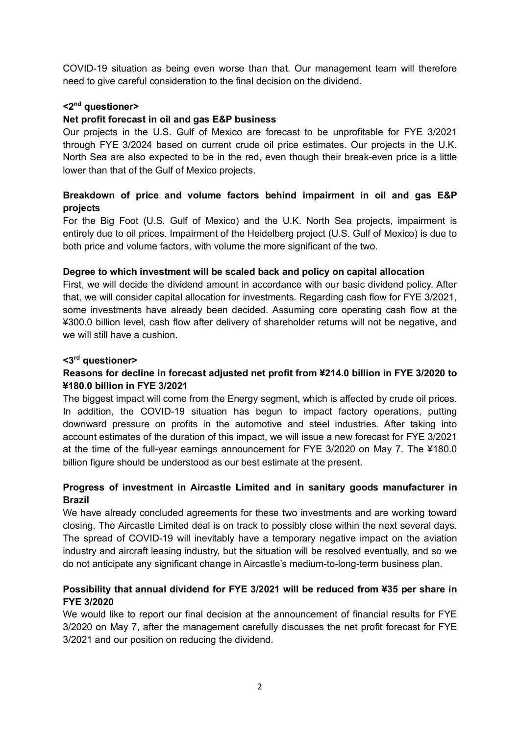COVID-19 situation as being even worse than that. Our management team will therefore need to give careful consideration to the final decision on the dividend.

### **<2nd questioner>**

### **Net profit forecast in oil and gas E&P business**

Our projects in the U.S. Gulf of Mexico are forecast to be unprofitable for FYE 3/2021 through FYE 3/2024 based on current crude oil price estimates. Our projects in the U.K. North Sea are also expected to be in the red, even though their break-even price is a little lower than that of the Gulf of Mexico projects.

# **Breakdown of price and volume factors behind impairment in oil and gas E&P projects**

For the Big Foot (U.S. Gulf of Mexico) and the U.K. North Sea projects, impairment is entirely due to oil prices. Impairment of the Heidelberg project (U.S. Gulf of Mexico) is due to both price and volume factors, with volume the more significant of the two.

# **Degree to which investment will be scaled back and policy on capital allocation**

First, we will decide the dividend amount in accordance with our basic dividend policy. After that, we will consider capital allocation for investments. Regarding cash flow for FYE 3/2021, some investments have already been decided. Assuming core operating cash flow at the ¥300.0 billion level, cash flow after delivery of shareholder returns will not be negative, and we will still have a cushion.

## **<3rd questioner>**

# **Reasons for decline in forecast adjusted net profit from ¥214.0 billion in FYE 3/2020 to ¥180.0 billion in FYE 3/2021**

The biggest impact will come from the Energy segment, which is affected by crude oil prices. In addition, the COVID-19 situation has begun to impact factory operations, putting downward pressure on profits in the automotive and steel industries. After taking into account estimates of the duration of this impact, we will issue a new forecast for FYE 3/2021 at the time of the full-year earnings announcement for FYE 3/2020 on May 7. The ¥180.0 billion figure should be understood as our best estimate at the present.

# **Progress of investment in Aircastle Limited and in sanitary goods manufacturer in Brazil**

We have already concluded agreements for these two investments and are working toward closing. The Aircastle Limited deal is on track to possibly close within the next several days. The spread of COVID-19 will inevitably have a temporary negative impact on the aviation industry and aircraft leasing industry, but the situation will be resolved eventually, and so we do not anticipate any significant change in Aircastle's medium-to-long-term business plan.

# **Possibility that annual dividend for FYE 3/2021 will be reduced from ¥35 per share in FYE 3/2020**

We would like to report our final decision at the announcement of financial results for FYE 3/2020 on May 7, after the management carefully discusses the net profit forecast for FYE 3/2021 and our position on reducing the dividend.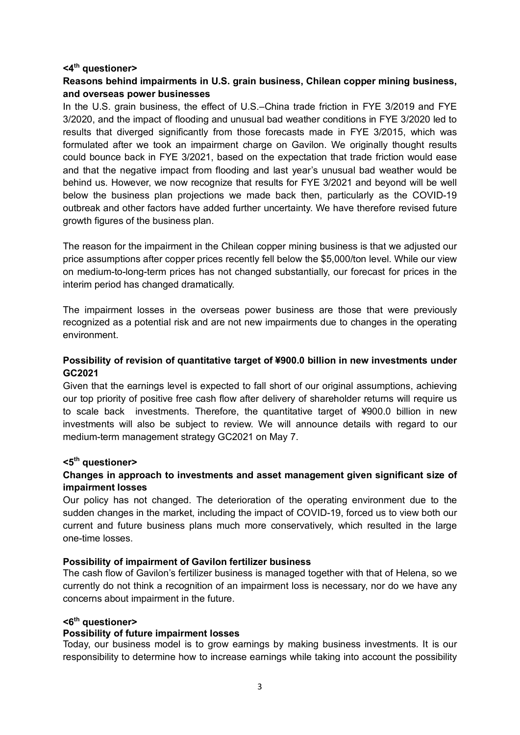#### **<4th questioner>**

# **Reasons behind impairments in U.S. grain business, Chilean copper mining business, and overseas power businesses**

In the U.S. grain business, the effect of U.S.–China trade friction in FYE 3/2019 and FYE 3/2020, and the impact of flooding and unusual bad weather conditions in FYE 3/2020 led to results that diverged significantly from those forecasts made in FYE 3/2015, which was formulated after we took an impairment charge on Gavilon. We originally thought results could bounce back in FYE 3/2021, based on the expectation that trade friction would ease and that the negative impact from flooding and last year's unusual bad weather would be behind us. However, we now recognize that results for FYE 3/2021 and beyond will be well below the business plan projections we made back then, particularly as the COVID-19 outbreak and other factors have added further uncertainty. We have therefore revised future growth figures of the business plan.

The reason for the impairment in the Chilean copper mining business is that we adjusted our price assumptions after copper prices recently fell below the \$5,000/ton level. While our view on medium-to-long-term prices has not changed substantially, our forecast for prices in the interim period has changed dramatically.

The impairment losses in the overseas power business are those that were previously recognized as a potential risk and are not new impairments due to changes in the operating environment.

# **Possibility of revision of quantitative target of ¥900.0 billion in new investments under GC2021**

Given that the earnings level is expected to fall short of our original assumptions, achieving our top priority of positive free cash flow after delivery of shareholder returns will require us to scale back investments. Therefore, the quantitative target of ¥900.0 billion in new investments will also be subject to review. We will announce details with regard to our medium-term management strategy GC2021 on May 7.

### **<5th questioner>**

# **Changes in approach to investments and asset management given significant size of impairment losses**

Our policy has not changed. The deterioration of the operating environment due to the sudden changes in the market, including the impact of COVID-19, forced us to view both our current and future business plans much more conservatively, which resulted in the large one-time losses.

### **Possibility of impairment of Gavilon fertilizer business**

The cash flow of Gavilon's fertilizer business is managed together with that of Helena, so we currently do not think a recognition of an impairment loss is necessary, nor do we have any concerns about impairment in the future.

#### **<6th questioner>**

### **Possibility of future impairment losses**

Today, our business model is to grow earnings by making business investments. It is our responsibility to determine how to increase earnings while taking into account the possibility